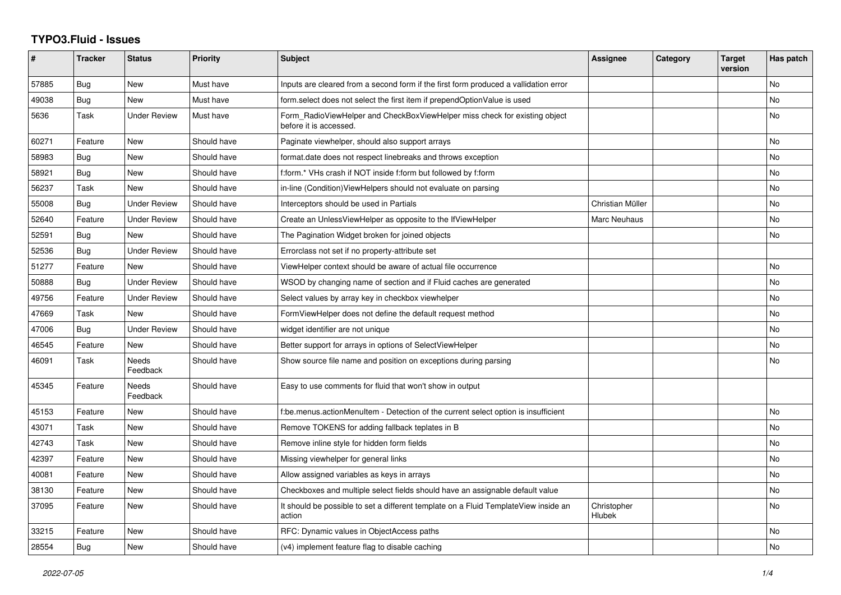## **TYPO3.Fluid - Issues**

| ∦     | <b>Tracker</b> | <b>Status</b>            | <b>Priority</b> | Subject                                                                                              | <b>Assignee</b>       | Category | <b>Target</b><br>version | Has patch |
|-------|----------------|--------------------------|-----------------|------------------------------------------------------------------------------------------------------|-----------------------|----------|--------------------------|-----------|
| 57885 | Bug            | New                      | Must have       | Inputs are cleared from a second form if the first form produced a vallidation error                 |                       |          |                          | No        |
| 49038 | Bug            | <b>New</b>               | Must have       | form select does not select the first item if prependOptionValue is used                             |                       |          |                          | No        |
| 5636  | Task           | <b>Under Review</b>      | Must have       | Form RadioViewHelper and CheckBoxViewHelper miss check for existing object<br>before it is accessed. |                       |          |                          | No        |
| 60271 | Feature        | <b>New</b>               | Should have     | Paginate viewhelper, should also support arrays                                                      |                       |          |                          | No        |
| 58983 | Bug            | <b>New</b>               | Should have     | format.date does not respect linebreaks and throws exception                                         |                       |          |                          | No.       |
| 58921 | Bug            | <b>New</b>               | Should have     | f:form.* VHs crash if NOT inside f:form but followed by f:form                                       |                       |          |                          | No        |
| 56237 | Task           | New                      | Should have     | in-line (Condition) View Helpers should not evaluate on parsing                                      |                       |          |                          | No        |
| 55008 | Bug            | <b>Under Review</b>      | Should have     | Interceptors should be used in Partials                                                              | Christian Müller      |          |                          | No        |
| 52640 | Feature        | <b>Under Review</b>      | Should have     | Create an UnlessViewHelper as opposite to the IfViewHelper                                           | Marc Neuhaus          |          |                          | <b>No</b> |
| 52591 | Bug            | <b>New</b>               | Should have     | The Pagination Widget broken for joined objects                                                      |                       |          |                          | No        |
| 52536 | Bug            | <b>Under Review</b>      | Should have     | Errorclass not set if no property-attribute set                                                      |                       |          |                          |           |
| 51277 | Feature        | <b>New</b>               | Should have     | ViewHelper context should be aware of actual file occurrence                                         |                       |          |                          | No        |
| 50888 | Bug            | Under Review             | Should have     | WSOD by changing name of section and if Fluid caches are generated                                   |                       |          |                          | No        |
| 49756 | Feature        | <b>Under Review</b>      | Should have     | Select values by array key in checkbox viewhelper                                                    |                       |          |                          | No        |
| 47669 | Task           | <b>New</b>               | Should have     | FormViewHelper does not define the default request method                                            |                       |          |                          | <b>No</b> |
| 47006 | Bug            | Under Review             | Should have     | widget identifier are not unique                                                                     |                       |          |                          | No        |
| 46545 | Feature        | <b>New</b>               | Should have     | Better support for arrays in options of SelectViewHelper                                             |                       |          |                          | No        |
| 46091 | Task           | <b>Needs</b><br>Feedback | Should have     | Show source file name and position on exceptions during parsing                                      |                       |          |                          | No        |
| 45345 | Feature        | <b>Needs</b><br>Feedback | Should have     | Easy to use comments for fluid that won't show in output                                             |                       |          |                          |           |
| 45153 | Feature        | New                      | Should have     | f:be.menus.actionMenuItem - Detection of the current select option is insufficient                   |                       |          |                          | No        |
| 43071 | Task           | <b>New</b>               | Should have     | Remove TOKENS for adding fallback teplates in B                                                      |                       |          |                          | No        |
| 42743 | Task           | New                      | Should have     | Remove inline style for hidden form fields                                                           |                       |          |                          | No        |
| 42397 | Feature        | New                      | Should have     | Missing viewhelper for general links                                                                 |                       |          |                          | No        |
| 40081 | Feature        | <b>New</b>               | Should have     | Allow assigned variables as keys in arrays                                                           |                       |          |                          | No        |
| 38130 | Feature        | <b>New</b>               | Should have     | Checkboxes and multiple select fields should have an assignable default value                        |                       |          |                          | No        |
| 37095 | Feature        | New                      | Should have     | It should be possible to set a different template on a Fluid TemplateView inside an<br>action        | Christopher<br>Hlubek |          |                          | No        |
| 33215 | Feature        | New                      | Should have     | RFC: Dynamic values in ObjectAccess paths                                                            |                       |          |                          | No        |
| 28554 | Bug            | <b>New</b>               | Should have     | (v4) implement feature flag to disable caching                                                       |                       |          |                          | No        |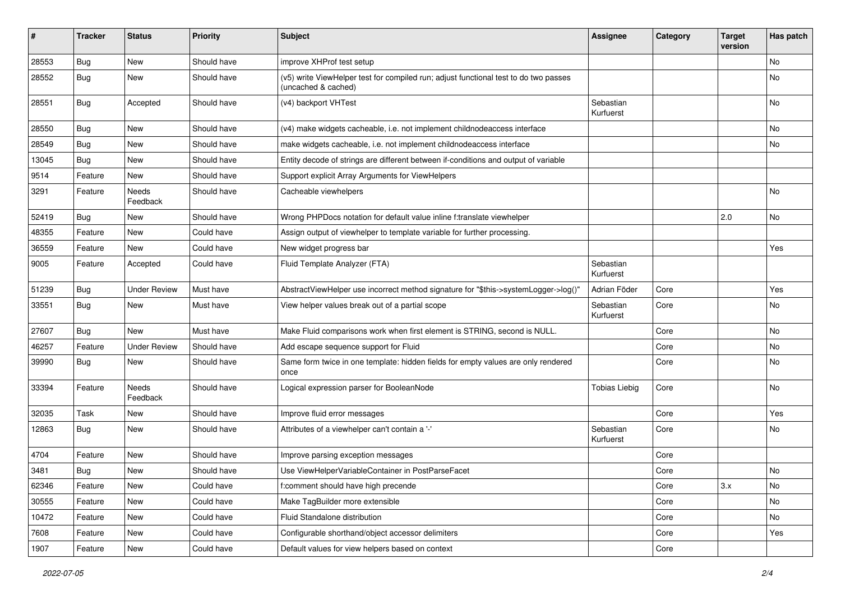| #     | <b>Tracker</b> | <b>Status</b>       | <b>Priority</b> | Subject                                                                                                     | <b>Assignee</b>        | Category | <b>Target</b><br>version | Has patch |
|-------|----------------|---------------------|-----------------|-------------------------------------------------------------------------------------------------------------|------------------------|----------|--------------------------|-----------|
| 28553 | Bug            | New                 | Should have     | improve XHProf test setup                                                                                   |                        |          |                          | <b>No</b> |
| 28552 | Bug            | New                 | Should have     | (v5) write ViewHelper test for compiled run; adjust functional test to do two passes<br>(uncached & cached) |                        |          |                          | No        |
| 28551 | <b>Bug</b>     | Accepted            | Should have     | (v4) backport VHTest                                                                                        | Sebastian<br>Kurfuerst |          |                          | No        |
| 28550 | Bug            | <b>New</b>          | Should have     | (v4) make widgets cacheable, i.e. not implement childnodeaccess interface                                   |                        |          |                          | No        |
| 28549 | Bug            | New                 | Should have     | make widgets cacheable, i.e. not implement childnodeaccess interface                                        |                        |          |                          | No        |
| 13045 | Bug            | New                 | Should have     | Entity decode of strings are different between if-conditions and output of variable                         |                        |          |                          |           |
| 9514  | Feature        | <b>New</b>          | Should have     | Support explicit Array Arguments for ViewHelpers                                                            |                        |          |                          |           |
| 3291  | Feature        | Needs<br>Feedback   | Should have     | Cacheable viewhelpers                                                                                       |                        |          |                          | No        |
| 52419 | Bug            | New                 | Should have     | Wrong PHPDocs notation for default value inline f:translate viewhelper                                      |                        |          | 2.0                      | <b>No</b> |
| 48355 | Feature        | New                 | Could have      | Assign output of viewhelper to template variable for further processing.                                    |                        |          |                          |           |
| 36559 | Feature        | <b>New</b>          | Could have      | New widget progress bar                                                                                     |                        |          |                          | Yes       |
| 9005  | Feature        | Accepted            | Could have      | Fluid Template Analyzer (FTA)                                                                               | Sebastian<br>Kurfuerst |          |                          |           |
| 51239 | Bug            | <b>Under Review</b> | Must have       | AbstractViewHelper use incorrect method signature for "\$this->systemLogger->log()"                         | Adrian Föder           | Core     |                          | Yes       |
| 33551 | Bug            | New                 | Must have       | View helper values break out of a partial scope                                                             | Sebastian<br>Kurfuerst | Core     |                          | No        |
| 27607 | Bug            | <b>New</b>          | Must have       | Make Fluid comparisons work when first element is STRING, second is NULL.                                   |                        | Core     |                          | <b>No</b> |
| 46257 | Feature        | <b>Under Review</b> | Should have     | Add escape sequence support for Fluid                                                                       |                        | Core     |                          | No        |
| 39990 | Bug            | New                 | Should have     | Same form twice in one template: hidden fields for empty values are only rendered<br>once                   |                        | Core     |                          | No        |
| 33394 | Feature        | Needs<br>Feedback   | Should have     | Logical expression parser for BooleanNode                                                                   | <b>Tobias Liebig</b>   | Core     |                          | No        |
| 32035 | Task           | New                 | Should have     | Improve fluid error messages                                                                                |                        | Core     |                          | Yes       |
| 12863 | Bug            | New                 | Should have     | Attributes of a viewhelper can't contain a '-'                                                              | Sebastian<br>Kurfuerst | Core     |                          | No        |
| 4704  | Feature        | New                 | Should have     | Improve parsing exception messages                                                                          |                        | Core     |                          |           |
| 3481  | Bug            | New                 | Should have     | Use ViewHelperVariableContainer in PostParseFacet                                                           |                        | Core     |                          | No        |
| 62346 | Feature        | New                 | Could have      | f:comment should have high precende                                                                         |                        | Core     | 3.x                      | No        |
| 30555 | Feature        | New                 | Could have      | Make TagBuilder more extensible                                                                             |                        | Core     |                          | No        |
| 10472 | Feature        | New                 | Could have      | Fluid Standalone distribution                                                                               |                        | Core     |                          | No        |
| 7608  | Feature        | New                 | Could have      | Configurable shorthand/object accessor delimiters                                                           |                        | Core     |                          | Yes       |
| 1907  | Feature        | New                 | Could have      | Default values for view helpers based on context                                                            |                        | Core     |                          |           |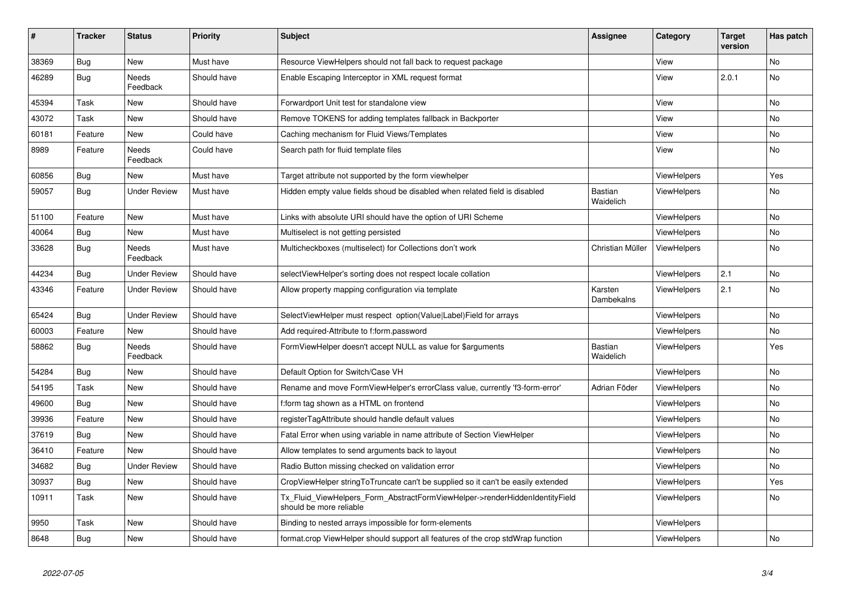| #     | <b>Tracker</b> | <b>Status</b>            | <b>Priority</b> | <b>Subject</b>                                                                                         | <b>Assignee</b>       | Category           | <b>Target</b><br>version | Has patch |
|-------|----------------|--------------------------|-----------------|--------------------------------------------------------------------------------------------------------|-----------------------|--------------------|--------------------------|-----------|
| 38369 | <b>Bug</b>     | <b>New</b>               | Must have       | Resource ViewHelpers should not fall back to request package                                           |                       | View               |                          | <b>No</b> |
| 46289 | Bug            | Needs<br>Feedback        | Should have     | Enable Escaping Interceptor in XML request format                                                      |                       | View               | 2.0.1                    | <b>No</b> |
| 45394 | Task           | <b>New</b>               | Should have     | Forwardport Unit test for standalone view                                                              |                       | View               |                          | <b>No</b> |
| 43072 | Task           | New                      | Should have     | Remove TOKENS for adding templates fallback in Backporter                                              |                       | View               |                          | <b>No</b> |
| 60181 | Feature        | <b>New</b>               | Could have      | Caching mechanism for Fluid Views/Templates                                                            |                       | View               |                          | <b>No</b> |
| 8989  | Feature        | <b>Needs</b><br>Feedback | Could have      | Search path for fluid template files                                                                   |                       | View               |                          | <b>No</b> |
| 60856 | <b>Bug</b>     | <b>New</b>               | Must have       | Target attribute not supported by the form viewhelper                                                  |                       | <b>ViewHelpers</b> |                          | Yes       |
| 59057 | Bug            | <b>Under Review</b>      | Must have       | Hidden empty value fields shoud be disabled when related field is disabled                             | Bastian<br>Waidelich  | ViewHelpers        |                          | No        |
| 51100 | Feature        | <b>New</b>               | Must have       | Links with absolute URI should have the option of URI Scheme                                           |                       | <b>ViewHelpers</b> |                          | <b>No</b> |
| 40064 | Bug            | <b>New</b>               | Must have       | Multiselect is not getting persisted                                                                   |                       | ViewHelpers        |                          | No        |
| 33628 | Bug            | Needs<br>Feedback        | Must have       | Multicheckboxes (multiselect) for Collections don't work                                               | Christian Müller      | ViewHelpers        |                          | <b>No</b> |
| 44234 | Bug            | <b>Under Review</b>      | Should have     | selectViewHelper's sorting does not respect locale collation                                           |                       | ViewHelpers        | 2.1                      | No        |
| 43346 | Feature        | <b>Under Review</b>      | Should have     | Allow property mapping configuration via template                                                      | Karsten<br>Dambekalns | <b>ViewHelpers</b> | 2.1                      | <b>No</b> |
| 65424 | Bug            | <b>Under Review</b>      | Should have     | SelectViewHelper must respect option(Value Label)Field for arrays                                      |                       | ViewHelpers        |                          | No        |
| 60003 | Feature        | New                      | Should have     | Add required-Attribute to f:form.password                                                              |                       | <b>ViewHelpers</b> |                          | No        |
| 58862 | <b>Bug</b>     | Needs<br>Feedback        | Should have     | FormViewHelper doesn't accept NULL as value for \$arguments                                            | Bastian<br>Waidelich  | ViewHelpers        |                          | Yes       |
| 54284 | Bug            | New                      | Should have     | Default Option for Switch/Case VH                                                                      |                       | <b>ViewHelpers</b> |                          | No        |
| 54195 | Task           | New                      | Should have     | Rename and move FormViewHelper's errorClass value, currently 'f3-form-error'                           | Adrian Föder          | ViewHelpers        |                          | No        |
| 49600 | <b>Bug</b>     | New                      | Should have     | f:form tag shown as a HTML on frontend                                                                 |                       | <b>ViewHelpers</b> |                          | No        |
| 39936 | Feature        | New                      | Should have     | registerTagAttribute should handle default values                                                      |                       | <b>ViewHelpers</b> |                          | No        |
| 37619 | Bug            | New                      | Should have     | Fatal Error when using variable in name attribute of Section ViewHelper                                |                       | ViewHelpers        |                          | No        |
| 36410 | Feature        | New                      | Should have     | Allow templates to send arguments back to layout                                                       |                       | <b>ViewHelpers</b> |                          | No        |
| 34682 | Bug            | <b>Under Review</b>      | Should have     | Radio Button missing checked on validation error                                                       |                       | <b>ViewHelpers</b> |                          | No        |
| 30937 | Bug            | <b>New</b>               | Should have     | CropViewHelper stringToTruncate can't be supplied so it can't be easily extended                       |                       | ViewHelpers        |                          | Yes       |
| 10911 | Task           | <b>New</b>               | Should have     | Tx Fluid ViewHelpers Form AbstractFormViewHelper->renderHiddenIdentityField<br>should be more reliable |                       | <b>ViewHelpers</b> |                          | No        |
| 9950  | Task           | New                      | Should have     | Binding to nested arrays impossible for form-elements                                                  |                       | <b>ViewHelpers</b> |                          |           |
| 8648  | Bug            | New                      | Should have     | format.crop ViewHelper should support all features of the crop stdWrap function                        |                       | <b>ViewHelpers</b> |                          | No        |